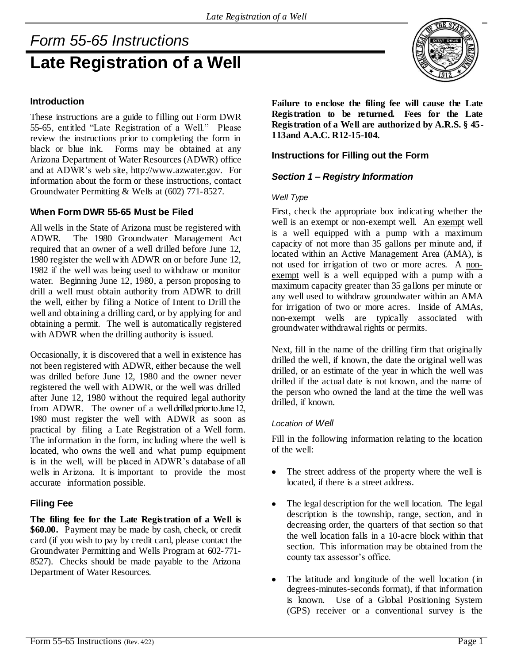# *Form 55-65 Instructions* **Late Registration of a Well**

## **Introduction**

These instructions are a guide to filling out Form DWR 55-65, entitled "Late Registration of a Well." Please review the instructions prior to completing the form in black or blue ink. Forms may be obtained at any Arizona Department of Water Resources (ADWR) office and at ADWR's web site, http://www.azwater.gov. For information about the form or these instructions, contact Groundwater Permitting & Wells at (602) 771-8527.

### **When Form DWR 55-65 Must be Filed**

All wells in the State of Arizona must be registered with ADWR. The 1980 Groundwater Management Act required that an owner of a well drilled before June 12, 1980 register the well with ADWR on or before June 12, 1982 if the well was being used to withdraw or monitor water. Beginning June 12, 1980, a person proposing to drill a well must obtain authority from ADWR to drill the well, either by filing a Notice of Intent to Drill the well and obtaining a drilling card, or by applying for and obtaining a permit. The well is automatically registered with ADWR when the drilling authority is issued.

Occasionally, it is discovered that a well in existence has not been registered with ADWR, either because the well was drilled before June 12, 1980 and the owner never registered the well with ADWR, or the well was drilled after June 12, 1980 without the required legal authority from ADWR. The owner of a well drilled prior to June 12, 1980 must register the well with ADWR as soon as practical by filing a Late Registration of a Well form. The information in the form, including where the well is located, who owns the well and what pump equipment is in the well, will be placed in ADWR's database of all wells in Arizona. It is important to provide the most accurate information possible.

## **Filing Fee**

**The filing fee for the Late Registration of a Well is \$60.00.** Payment may be made by cash, check, or credit card (if you wish to pay by credit card, please contact the Groundwater Permitting and Wells Program at 602-771- 8527). Checks should be made payable to the Arizona Department of Water Resources.

**Failure to enclose the filing fee will cause the Late Registration to be returned. Fees for the Late Registration of a Well are authorized by A.R.S. § 45- 113and A.A.C. R12-15-104.** 

## **Instructions for Filling out the Form**

## *Section 1 – Registry Information*

#### *Well Type*

First, check the appropriate box indicating whether the well is an exempt or non-exempt well. An exempt well is a well equipped with a pump with a maximum capacity of not more than 35 gallons per minute and, if located within an Active Management Area (AMA), is not used for irrigation of two or more acres. A nonexempt well is a well equipped with a pump with a maximum capacity greater than 35 gallons per minute or any well used to withdraw groundwater within an AMA for irrigation of two or more acres. Inside of AMAs, non-exempt wells are typically associated with groundwater withdrawal rights or permits.

Next, fill in the name of the drilling firm that originally drilled the well, if known, the date the original well was drilled, or an estimate of the year in which the well was drilled if the actual date is not known, and the name of the person who owned the land at the time the well was drilled, if known.

#### *Location of Well*

Fill in the following information relating to the location of the well:

- The street address of the property where the well is located, if there is a street address.
- $\bullet$ The legal description for the well location. The legal description is the township, range, section, and in decreasing order, the quarters of that section so that the well location falls in a 10-acre block within that section. This information may be obtained from the county tax assessor's office.
- The latitude and longitude of the well location (in  $\bullet$ degrees-minutes-seconds format), if that information is known. Use of a Global Positioning System (GPS) receiver or a conventional survey is the

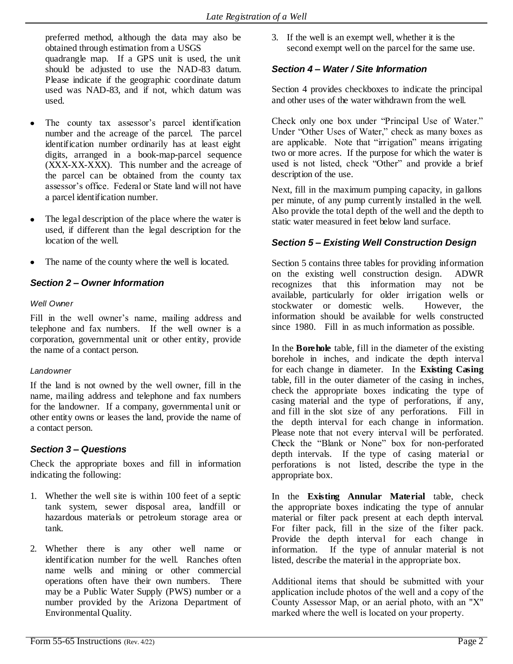preferred method, although the data may also be obtained through estimation from a USGS quadrangle map. If a GPS unit is used, the unit should be adjusted to use the NAD-83 datum. Please indicate if the geographic coordinate datum used was NAD-83, and if not, which datum was used.

- The county tax assessor's parcel identification number and the acreage of the parcel. The parcel identification number ordinarily has at least eight digits, arranged in a book-map-parcel sequence (XXX-XX-XXX). This number and the acreage of the parcel can be obtained from the county tax assessor's office. Federal or State land will not have a parcel identification number.
- The legal description of the place where the water is  $\bullet$ used, if different than the legal description for the location of the well.
- The name of the county where the well is located.

## *Section 2 – Owner Information*

### *Well Owner*

Fill in the well owner's name, mailing address and telephone and fax numbers. If the well owner is a corporation, governmental unit or other entity, provide the name of a contact person.

### *Landowner*

If the land is not owned by the well owner, fill in the name, mailing address and telephone and fax numbers for the landowner. If a company, governmental unit or other entity owns or leases the land, provide the name of a contact person.

## *Section 3 – Questions*

Check the appropriate boxes and fill in information indicating the following:

- 1. Whether the well site is within 100 feet of a septic tank system, sewer disposal area, landfill or hazardous materials or petroleum storage area or tank.
- 2. Whether there is any other well name or identification number for the well. Ranches often name wells and mining or other commercial operations often have their own numbers. There may be a Public Water Supply (PWS) number or a number provided by the Arizona Department of Environmental Quality.

3. If the well is an exempt well, whether it is the second exempt well on the parcel for the same use.

## *Section 4 – Water / Site Information*

Section 4 provides checkboxes to indicate the principal and other uses of the water withdrawn from the well.

Check only one box under "Principal Use of Water." Under "Other Uses of Water," check as many boxes as are applicable. Note that "irrigation" means irrigating two or more acres. If the purpose for which the water is used is not listed, check "Other" and provide a brief description of the use.

Next, fill in the maximum pumping capacity, in gallons per minute, of any pump currently installed in the well. Also provide the total depth of the well and the depth to static water measured in feet below land surface.

## *Section 5 – Existing Well Construction Design*

Section 5 contains three tables for providing information on the existing well construction design. ADWR recognizes that this information may not be available, particularly for older irrigation wells or stockwater or domestic wells. However, the information should be available for wells constructed since 1980. Fill in as much information as possible.

In the **Borehole** table, fill in the diameter of the existing borehole in inches, and indicate the depth interval for each change in diameter. In the **Existing Casing**  table, fill in the outer diameter of the casing in inches, check the appropriate boxes indicating the type of casing material and the type of perforations, if any, and fill in the slot size of any perforations. Fill in the depth interval for each change in information. Please note that not every interval will be perforated. Check the "Blank or None" box for non-perforated depth intervals. If the type of casing material or perforations is not listed, describe the type in the appropriate box.

In the **Existing Annular Material** table, check the appropriate boxes indicating the type of annular material or filter pack present at each depth interval. For filter pack, fill in the size of the filter pack. Provide the depth interval for each change in information. If the type of annular material is not listed, describe the material in the appropriate box.

Additional items that should be submitted with your application include photos of the well and a copy of the County Assessor Map, or an aerial photo, with an "X" marked where the well is located on your property.